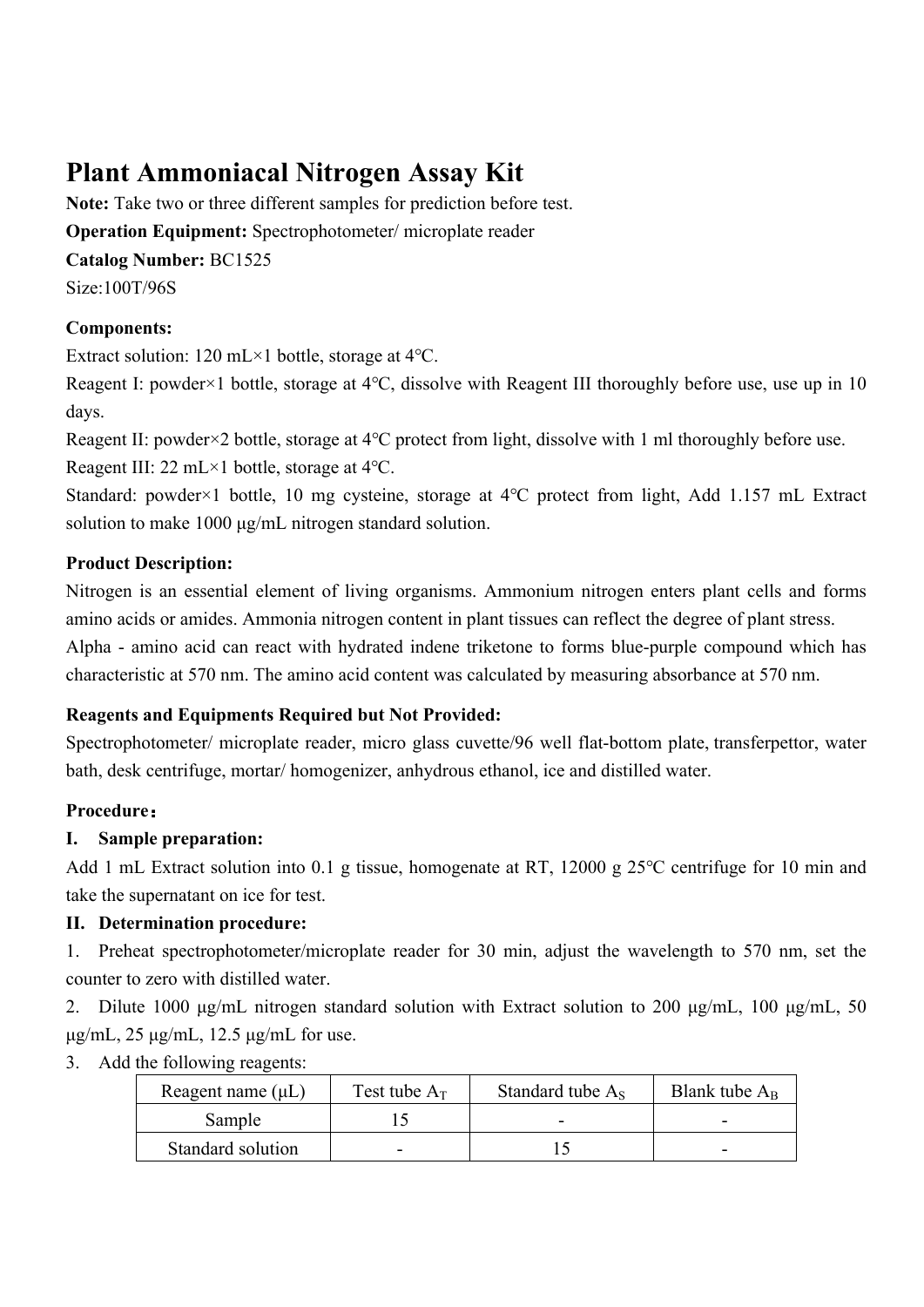# **Plant Ammoniacal Nitrogen Assay Kit**

**Note:** Take two or three different samples for prediction before test. **Operation Equipment:** Spectrophotometer/ microplate reader **Catalog Number:** BC1525 Size:100T/96S

# **Components:**

Extract solution: 120 mL×1 bottle, storage at 4℃.

Reagent I: powder×1 bottle, storage at 4℃, dissolve with Reagent III thoroughly before use, use up in 10 days.

Reagent II: powder×2 bottle, storage at 4℃ protect from light, dissolve with 1 ml thoroughly before use. Reagent III: 22 mL×1 bottle, storage at 4℃.

Standard: powder×1 bottle, 10 mg cysteine, storage at 4℃ protect from light, Add 1.157 mL Extract solution to make 1000 μg/mL nitrogen standard solution.

## **Product Description:**

Nitrogen is an essential element of living organisms. Ammonium nitrogen enters plant cells and forms amino acids or amides. Ammonia nitrogen content in plant tissues can reflect the degree of plant stress.

Alpha - amino acid can react with hydrated indene triketone to forms blue-purple compound which has characteristic at 570 nm. The amino acid content was calculated by measuring absorbance at 570 nm.

## **Reagents and Equipments Required but Not Provided:**

Spectrophotometer/ microplate reader, micro glass cuvette/96 well flat-bottom plate, transferpettor, water bath, desk centrifuge, mortar/ homogenizer, anhydrous ethanol, ice and distilled water.

# **Procedure:**

## **I. Sample preparation:**

Add 1 mL Extract solution into 0.1 g tissue, homogenate at RT, 12000 g 25℃ centrifuge for 10 min and take the supernatant on ice for test.

# **II. Determination procedure:**

1. Preheat spectrophotometer/microplate reader for 30 min, adjust the wavelength to 570 nm, set the counter to zero with distilled water.

2. Dilute 1000 μg/mL nitrogen standard solution with Extract solution to 200 μg/mL, 100 μg/mL, 50 μg/mL, 25 μg/mL, 12.5 μg/mL for use.

## 3. Add the following reagents:

| Reagent name $(\mu L)$ | Test tube $A_T$ | Standard tube $A_s$ | Blank tube $A_R$ |
|------------------------|-----------------|---------------------|------------------|
| Sample                 |                 | -                   |                  |
| Standard solution      |                 |                     |                  |